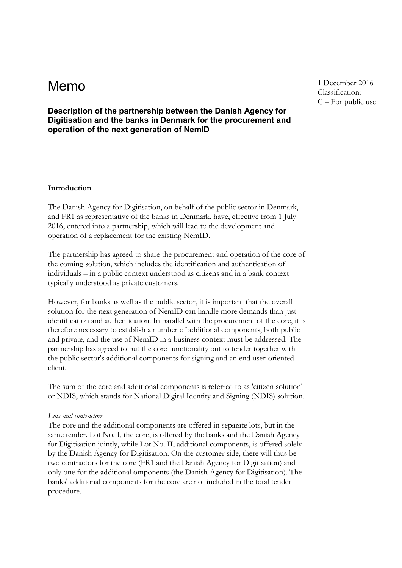**Memo** 1 December 2016 Classification: C – For public use

# **Description of the partnership between the Danish Agency for Digitisation and the banks in Denmark for the procurement and operation of the next generation of NemID**

#### **Introduction**

The Danish Agency for Digitisation, on behalf of the public sector in Denmark, and FR1 as representative of the banks in Denmark, have, effective from 1 July 2016, entered into a partnership, which will lead to the development and operation of a replacement for the existing NemID.

The partnership has agreed to share the procurement and operation of the core of the coming solution, which includes the identification and authentication of individuals – in a public context understood as citizens and in a bank context typically understood as private customers.

However, for banks as well as the public sector, it is important that the overall solution for the next generation of NemID can handle more demands than just identification and authentication. In parallel with the procurement of the core, it is therefore necessary to establish a number of additional components, both public and private, and the use of NemID in a business context must be addressed. The partnership has agreed to put the core functionality out to tender together with the public sector's additional components for signing and an end user-oriented client.

The sum of the core and additional components is referred to as 'citizen solution' or NDIS, which stands for National Digital Identity and Signing (NDIS) solution.

#### *Lots and contractors*

The core and the additional components are offered in separate lots, but in the same tender. Lot No. I, the core, is offered by the banks and the Danish Agency for Digitisation jointly, while Lot No. II, additional components, is offered solely by the Danish Agency for Digitisation. On the customer side, there will thus be two contractors for the core (FR1 and the Danish Agency for Digitisation) and only one for the additional omponents (the Danish Agency for Digitisation). The banks' additional components for the core are not included in the total tender procedure.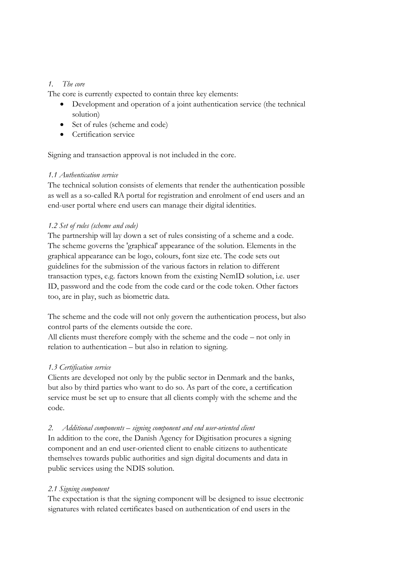# *1. The core*

The core is currently expected to contain three key elements:

- Development and operation of a joint authentication service (the technical solution)
- Set of rules (scheme and code)
- Certification service

Signing and transaction approval is not included in the core.

## *1.1 Authentication service*

The technical solution consists of elements that render the authentication possible as well as a so-called RA portal for registration and enrolment of end users and an end-user portal where end users can manage their digital identities.

# *1.2 Set of rules (scheme and code)*

The partnership will lay down a set of rules consisting of a scheme and a code. The scheme governs the 'graphical' appearance of the solution. Elements in the graphical appearance can be logo, colours, font size etc. The code sets out guidelines for the submission of the various factors in relation to different transaction types, e.g. factors known from the existing NemID solution, i.e. user ID, password and the code from the code card or the code token. Other factors too, are in play, such as biometric data.

The scheme and the code will not only govern the authentication process, but also control parts of the elements outside the core.

All clients must therefore comply with the scheme and the code – not only in relation to authentication – but also in relation to signing.

# *1.3 Certification service*

Clients are developed not only by the public sector in Denmark and the banks, but also by third parties who want to do so. As part of the core, a certification service must be set up to ensure that all clients comply with the scheme and the code.

## *2. Additional components* – *signing component and end user-oriented client*

In addition to the core, the Danish Agency for Digitisation procures a signing component and an end user-oriented client to enable citizens to authenticate themselves towards public authorities and sign digital documents and data in public services using the NDIS solution.

## *2.1 Signing component*

The expectation is that the signing component will be designed to issue electronic signatures with related certificates based on authentication of end users in the